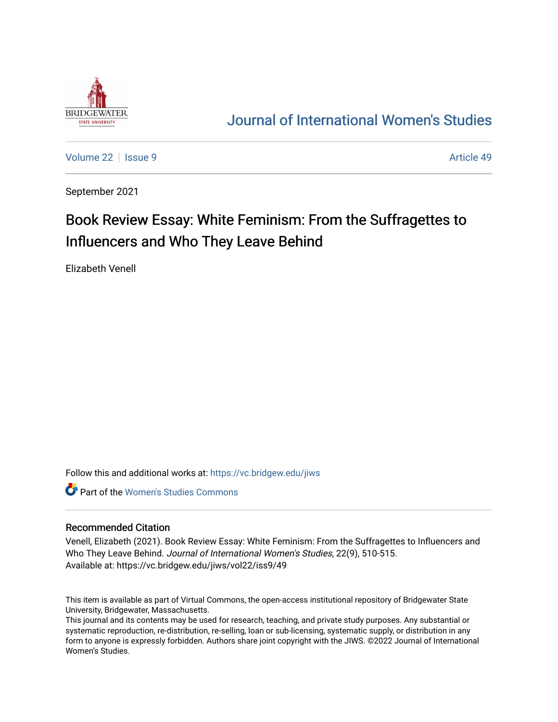

## [Journal of International Women's Studies](https://vc.bridgew.edu/jiws)

[Volume 22](https://vc.bridgew.edu/jiws/vol22) | [Issue 9](https://vc.bridgew.edu/jiws/vol22/iss9) Article 49

September 2021

# Book Review Essay: White Feminism: From the Suffragettes to Influencers and Who They Leave Behind

Elizabeth Venell

Follow this and additional works at: [https://vc.bridgew.edu/jiws](https://vc.bridgew.edu/jiws?utm_source=vc.bridgew.edu%2Fjiws%2Fvol22%2Fiss9%2F49&utm_medium=PDF&utm_campaign=PDFCoverPages)

**C** Part of the Women's Studies Commons

#### Recommended Citation

Venell, Elizabeth (2021). Book Review Essay: White Feminism: From the Suffragettes to Influencers and Who They Leave Behind. Journal of International Women's Studies, 22(9), 510-515. Available at: https://vc.bridgew.edu/jiws/vol22/iss9/49

This item is available as part of Virtual Commons, the open-access institutional repository of Bridgewater State University, Bridgewater, Massachusetts.

This journal and its contents may be used for research, teaching, and private study purposes. Any substantial or systematic reproduction, re-distribution, re-selling, loan or sub-licensing, systematic supply, or distribution in any form to anyone is expressly forbidden. Authors share joint copyright with the JIWS. ©2022 Journal of International Women's Studies.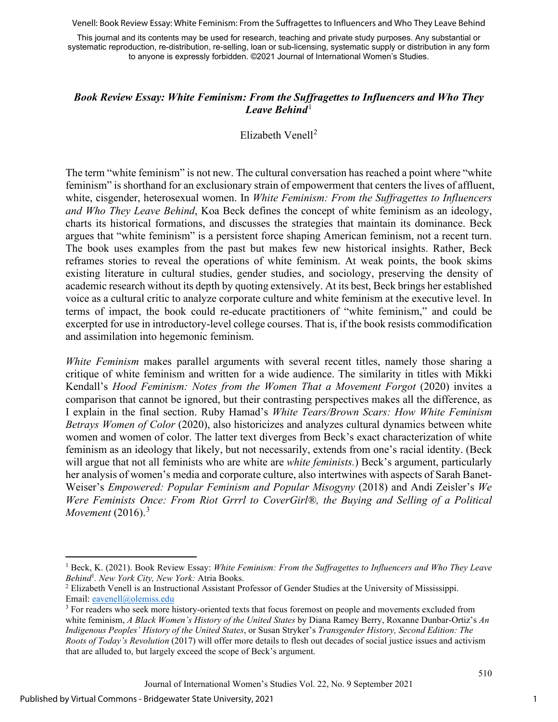Venell: Book Review Essay: White Feminism: From the Suffragettes to Influencers and Who They Leave Behind

This journal and its contents may be used for research, teaching and private study purposes. Any substantial or systematic reproduction, re-distribution, re-selling, loan or sub-licensing, systematic supply or distribution in any form to anyone is expressly forbidden. ©2021 Journal of International Women's Studies.

### *Book Review Essay: White Feminism: From the Suffragettes to Influencers and Who They*  Leave Behind<sup>[1](#page-1-0)</sup>

#### Elizabeth Venell<sup>[2](#page-1-1)</sup>

The term "white feminism" is not new. The cultural conversation has reached a point where "white feminism" is shorthand for an exclusionary strain of empowerment that centers the lives of affluent, white, cisgender, heterosexual women. In *White Feminism: From the Suffragettes to Influencers and Who They Leave Behind*, Koa Beck defines the concept of white feminism as an ideology, charts its historical formations, and discusses the strategies that maintain its dominance. Beck argues that "white feminism" is a persistent force shaping American feminism, not a recent turn. The book uses examples from the past but makes few new historical insights. Rather, Beck reframes stories to reveal the operations of white feminism. At weak points, the book skims existing literature in cultural studies, gender studies, and sociology, preserving the density of academic research without its depth by quoting extensively. At its best, Beck brings her established voice as a cultural critic to analyze corporate culture and white feminism at the executive level. In terms of impact, the book could re-educate practitioners of "white feminism," and could be excerpted for use in introductory-level college courses. That is, if the book resists commodification and assimilation into hegemonic feminism.

*White Feminism* makes parallel arguments with several recent titles, namely those sharing a critique of white feminism and written for a wide audience. The similarity in titles with Mikki Kendall's *Hood Feminism: Notes from the Women That a Movement Forgot* (2020) invites a comparison that cannot be ignored, but their contrasting perspectives makes all the difference, as I explain in the final section. Ruby Hamad's *White Tears/Brown Scars: How White Feminism Betrays Women of Color* (2020), also historicizes and analyzes cultural dynamics between white women and women of color. The latter text diverges from Beck's exact characterization of white feminism as an ideology that likely, but not necessarily, extends from one's racial identity. (Beck will argue that not all feminists who are white are *white feminists.*) Beck's argument, particularly her analysis of women's media and corporate culture, also intertwines with aspects of Sarah Banet-Weiser's *Empowered: Popular Feminism and Popular Misogyny* (2018) and Andi Zeisler's *We Were Feminists Once: From Riot Grrrl to CoverGirl®, the Buying and Selling of a Political Movement* (2016).<sup>[3](#page-1-2)</sup>

<span id="page-1-0"></span><sup>1</sup> Beck, K. (2021). Book Review Essay: *White Feminism: From the Suffragettes to Influencers and Who They Leave Behind<sup>1</sup>*. *New York City. New York: Atria Books.* 

<span id="page-1-1"></span><sup>&</sup>lt;sup>2</sup> Elizabeth Venell is an Instructional Assistant Professor of Gender Studies at the University of Mississippi. Email: [eavenell@olemiss.edu](mailto:eavenell@olemiss.edu)

<span id="page-1-2"></span><sup>&</sup>lt;sup>3</sup> For readers who seek more history-oriented texts that focus foremost on people and movements excluded from white feminism, *A Black Women's History of the United States* by Diana Ramey Berry, Roxanne Dunbar-Ortiz's *An Indigenous Peoples' History of the United States*, or Susan Stryker's *Transgender History, Second Edition: The Roots of Today's Revolution* (2017) will offer more details to flesh out decades of social justice issues and activism that are alluded to, but largely exceed the scope of Beck's argument.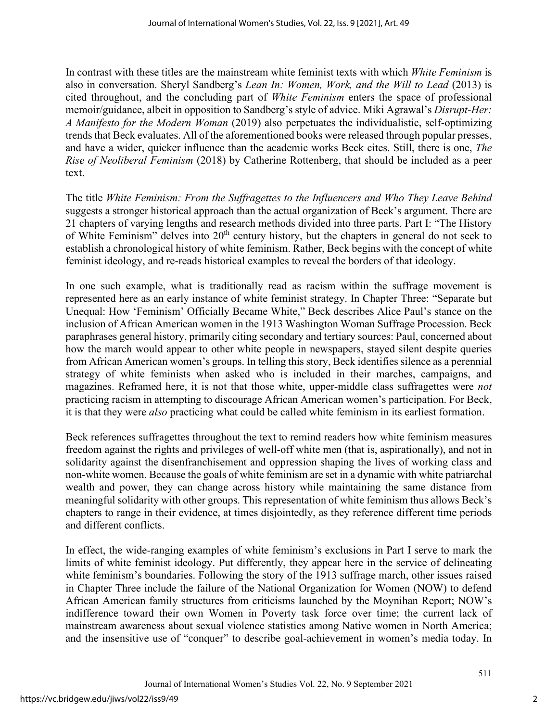In contrast with these titles are the mainstream white feminist texts with which *White Feminism* is also in conversation. Sheryl Sandberg's *Lean In: Women, Work, and the Will to Lead* (2013) is cited throughout, and the concluding part of *White Feminism* enters the space of professional memoir/guidance, albeit in opposition to Sandberg's style of advice. Miki Agrawal's *Disrupt-Her: A Manifesto for the Modern Woman* (2019) also perpetuates the individualistic, self-optimizing trends that Beck evaluates. All of the aforementioned books were released through popular presses, and have a wider, quicker influence than the academic works Beck cites. Still, there is one, *The Rise of Neoliberal Feminism* (2018) by Catherine Rottenberg, that should be included as a peer text.

The title *White Feminism: From the Suffragettes to the Influencers and Who They Leave Behind* suggests a stronger historical approach than the actual organization of Beck's argument. There are 21 chapters of varying lengths and research methods divided into three parts. Part I: "The History of White Feminism" delves into 20<sup>th</sup> century history, but the chapters in general do not seek to establish a chronological history of white feminism. Rather, Beck begins with the concept of white feminist ideology, and re-reads historical examples to reveal the borders of that ideology.

In one such example, what is traditionally read as racism within the suffrage movement is represented here as an early instance of white feminist strategy. In Chapter Three: "Separate but Unequal: How 'Feminism' Officially Became White," Beck describes Alice Paul's stance on the inclusion of African American women in the 1913 Washington Woman Suffrage Procession. Beck paraphrases general history, primarily citing secondary and tertiary sources: Paul, concerned about how the march would appear to other white people in newspapers, stayed silent despite queries from African American women's groups. In telling this story, Beck identifies silence as a perennial strategy of white feminists when asked who is included in their marches, campaigns, and magazines. Reframed here, it is not that those white, upper-middle class suffragettes were *not* practicing racism in attempting to discourage African American women's participation. For Beck, it is that they were *also* practicing what could be called white feminism in its earliest formation.

Beck references suffragettes throughout the text to remind readers how white feminism measures freedom against the rights and privileges of well-off white men (that is, aspirationally), and not in solidarity against the disenfranchisement and oppression shaping the lives of working class and non-white women. Because the goals of white feminism are set in a dynamic with white patriarchal wealth and power, they can change across history while maintaining the same distance from meaningful solidarity with other groups. This representation of white feminism thus allows Beck's chapters to range in their evidence, at times disjointedly, as they reference different time periods and different conflicts.

In effect, the wide-ranging examples of white feminism's exclusions in Part I serve to mark the limits of white feminist ideology. Put differently, they appear here in the service of delineating white feminism's boundaries. Following the story of the 1913 suffrage march, other issues raised in Chapter Three include the failure of the National Organization for Women (NOW) to defend African American family structures from criticisms launched by the Moynihan Report; NOW's indifference toward their own Women in Poverty task force over time; the current lack of mainstream awareness about sexual violence statistics among Native women in North America; and the insensitive use of "conquer" to describe goal-achievement in women's media today. In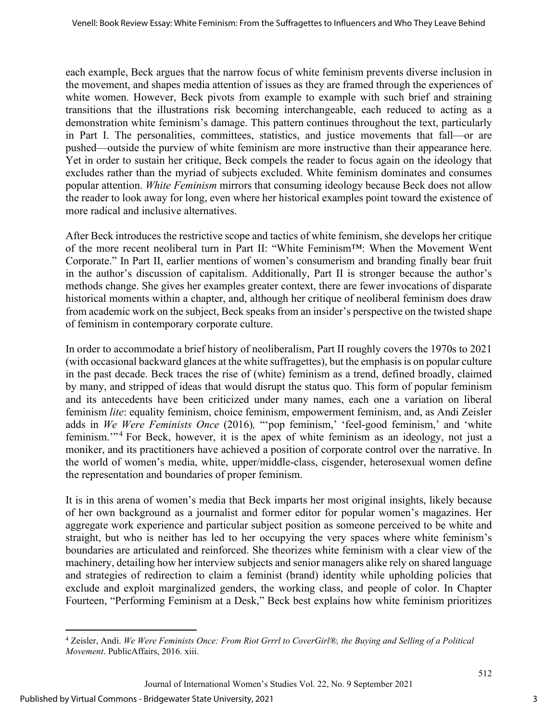each example, Beck argues that the narrow focus of white feminism prevents diverse inclusion in the movement, and shapes media attention of issues as they are framed through the experiences of white women. However, Beck pivots from example to example with such brief and straining transitions that the illustrations risk becoming interchangeable, each reduced to acting as a demonstration white feminism's damage. This pattern continues throughout the text, particularly in Part I. The personalities, committees, statistics, and justice movements that fall—or are pushed—outside the purview of white feminism are more instructive than their appearance here. Yet in order to sustain her critique, Beck compels the reader to focus again on the ideology that excludes rather than the myriad of subjects excluded. White feminism dominates and consumes popular attention. *White Feminism* mirrors that consuming ideology because Beck does not allow the reader to look away for long, even where her historical examples point toward the existence of more radical and inclusive alternatives.

After Beck introduces the restrictive scope and tactics of white feminism, she develops her critique of the more recent neoliberal turn in Part II: "White Feminism™: When the Movement Went Corporate." In Part II, earlier mentions of women's consumerism and branding finally bear fruit in the author's discussion of capitalism. Additionally, Part II is stronger because the author's methods change. She gives her examples greater context, there are fewer invocations of disparate historical moments within a chapter, and, although her critique of neoliberal feminism does draw from academic work on the subject, Beck speaks from an insider's perspective on the twisted shape of feminism in contemporary corporate culture.

In order to accommodate a brief history of neoliberalism, Part II roughly covers the 1970s to 2021 (with occasional backward glances at the white suffragettes), but the emphasis is on popular culture in the past decade. Beck traces the rise of (white) feminism as a trend, defined broadly, claimed by many, and stripped of ideas that would disrupt the status quo. This form of popular feminism and its antecedents have been criticized under many names, each one a variation on liberal feminism *lite*: equality feminism, choice feminism, empowerment feminism, and, as Andi Zeisler adds in *We Were Feminists Once* (2016)*,* "'pop feminism,' 'feel-good feminism,' and 'white feminism."<sup>[4](#page-3-0)</sup> For Beck, however, it is the apex of white feminism as an ideology, not just a moniker, and its practitioners have achieved a position of corporate control over the narrative. In the world of women's media, white, upper/middle-class, cisgender, heterosexual women define the representation and boundaries of proper feminism.

It is in this arena of women's media that Beck imparts her most original insights, likely because of her own background as a journalist and former editor for popular women's magazines. Her aggregate work experience and particular subject position as someone perceived to be white and straight, but who is neither has led to her occupying the very spaces where white feminism's boundaries are articulated and reinforced. She theorizes white feminism with a clear view of the machinery, detailing how her interview subjects and senior managers alike rely on shared language and strategies of redirection to claim a feminist (brand) identity while upholding policies that exclude and exploit marginalized genders, the working class, and people of color. In Chapter Fourteen, "Performing Feminism at a Desk," Beck best explains how white feminism prioritizes

<span id="page-3-0"></span><sup>4</sup> Zeisler, Andi. *We Were Feminists Once: From Riot Grrrl to CoverGirl®, the Buying and Selling of a Political Movement*. PublicAffairs, 2016. xiii.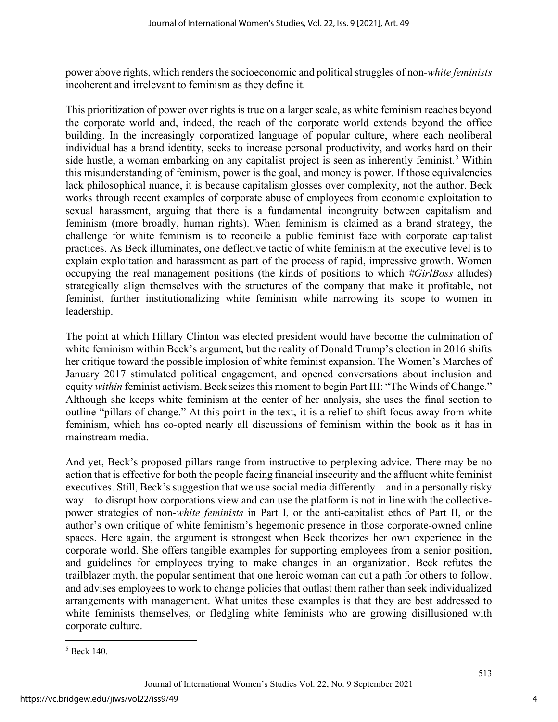power above rights, which renders the socioeconomic and political struggles of non-*white feminists*  incoherent and irrelevant to feminism as they define it.

This prioritization of power over rights is true on a larger scale, as white feminism reaches beyond the corporate world and, indeed, the reach of the corporate world extends beyond the office building. In the increasingly corporatized language of popular culture, where each neoliberal individual has a brand identity, seeks to increase personal productivity, and works hard on their side hustle, a woman embarking on any capitalist project is seen as inherently feminist.<sup>[5](#page-4-0)</sup> Within this misunderstanding of feminism, power is the goal, and money is power. If those equivalencies lack philosophical nuance, it is because capitalism glosses over complexity, not the author. Beck works through recent examples of corporate abuse of employees from economic exploitation to sexual harassment, arguing that there is a fundamental incongruity between capitalism and feminism (more broadly, human rights). When feminism is claimed as a brand strategy, the challenge for white feminism is to reconcile a public feminist face with corporate capitalist practices. As Beck illuminates, one deflective tactic of white feminism at the executive level is to explain exploitation and harassment as part of the process of rapid, impressive growth. Women occupying the real management positions (the kinds of positions to which *#GirlBoss* alludes) strategically align themselves with the structures of the company that make it profitable, not feminist, further institutionalizing white feminism while narrowing its scope to women in leadership.

The point at which Hillary Clinton was elected president would have become the culmination of white feminism within Beck's argument, but the reality of Donald Trump's election in 2016 shifts her critique toward the possible implosion of white feminist expansion. The Women's Marches of January 2017 stimulated political engagement, and opened conversations about inclusion and equity *within* feminist activism. Beck seizes this moment to begin Part III: "The Winds of Change." Although she keeps white feminism at the center of her analysis, she uses the final section to outline "pillars of change." At this point in the text, it is a relief to shift focus away from white feminism, which has co-opted nearly all discussions of feminism within the book as it has in mainstream media.

And yet, Beck's proposed pillars range from instructive to perplexing advice. There may be no action that is effective for both the people facing financial insecurity and the affluent white feminist executives. Still, Beck's suggestion that we use social media differently—and in a personally risky way—to disrupt how corporations view and can use the platform is not in line with the collectivepower strategies of non-*white feminists* in Part I, or the anti-capitalist ethos of Part II, or the author's own critique of white feminism's hegemonic presence in those corporate-owned online spaces. Here again, the argument is strongest when Beck theorizes her own experience in the corporate world. She offers tangible examples for supporting employees from a senior position, and guidelines for employees trying to make changes in an organization. Beck refutes the trailblazer myth, the popular sentiment that one heroic woman can cut a path for others to follow, and advises employees to work to change policies that outlast them rather than seek individualized arrangements with management. What unites these examples is that they are best addressed to white feminists themselves, or fledgling white feminists who are growing disillusioned with corporate culture.

<span id="page-4-0"></span><sup>5</sup> Beck 140.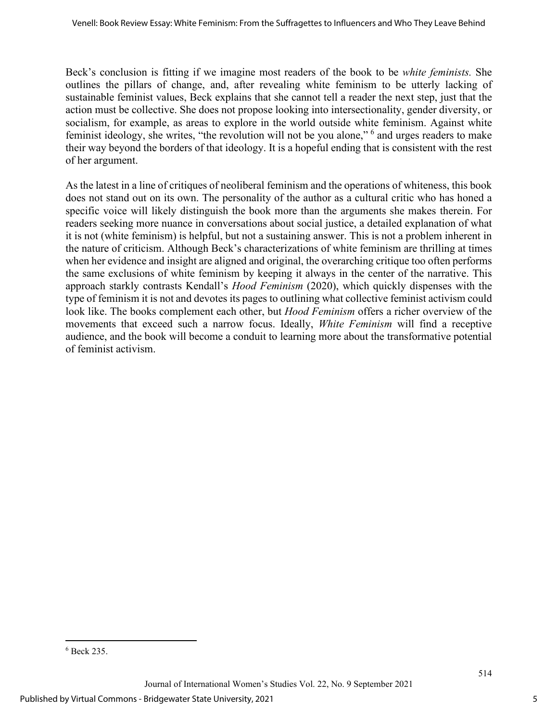Beck's conclusion is fitting if we imagine most readers of the book to be *white feminists.* She outlines the pillars of change, and, after revealing white feminism to be utterly lacking of sustainable feminist values, Beck explains that she cannot tell a reader the next step, just that the action must be collective. She does not propose looking into intersectionality, gender diversity, or socialism, for example, as areas to explore in the world outside white feminism. Against white feminist ideology, she writes, "the revolution will not be you alone," [6](#page-5-0) and urges readers to make their way beyond the borders of that ideology. It is a hopeful ending that is consistent with the rest of her argument.

As the latest in a line of critiques of neoliberal feminism and the operations of whiteness, this book does not stand out on its own. The personality of the author as a cultural critic who has honed a specific voice will likely distinguish the book more than the arguments she makes therein. For readers seeking more nuance in conversations about social justice, a detailed explanation of what it is not (white feminism) is helpful, but not a sustaining answer. This is not a problem inherent in the nature of criticism. Although Beck's characterizations of white feminism are thrilling at times when her evidence and insight are aligned and original, the overarching critique too often performs the same exclusions of white feminism by keeping it always in the center of the narrative. This approach starkly contrasts Kendall's *Hood Feminism* (2020), which quickly dispenses with the type of feminism it is not and devotes its pages to outlining what collective feminist activism could look like. The books complement each other, but *Hood Feminism* offers a richer overview of the movements that exceed such a narrow focus. Ideally, *White Feminism* will find a receptive audience, and the book will become a conduit to learning more about the transformative potential of feminist activism.

<span id="page-5-0"></span><sup>6</sup> Beck 235.

Journal of International Women's Studies Vol. 22, No. 9 September 2021